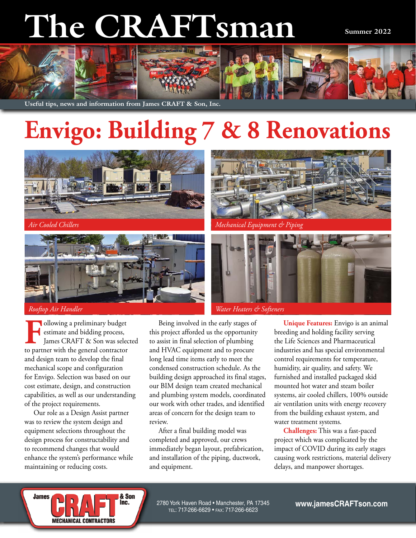# **The CRAFTsman**

**Summer 2022**



**Useful tips, news and information from James CRAFT & Son, Inc.**

# **Envigo: Building 7 & 8 Renovations**





Following a preliminary budget<br>
For estimate and bidding process,<br>
James CRAFT & Son was selected<br>
to partner with the general contractor estimate and bidding process, James CRAFT & Son was selected to partner with the general contractor and design team to develop the final mechanical scope and configuration for Envigo. Selection was based on our cost estimate, design, and construction capabilities, as well as our understanding of the project requirements.

Our role as a Design Assist partner was to review the system design and equipment selections throughout the design process for constructability and to recommend changes that would enhance the system's performance while maintaining or reducing costs.

**MECHANICAL CONTRACTORS** 

**James** 



After a final building model was completed and approved, our crews immediately began layout, prefabrication, and installation of the piping, ductwork, and equipment.



*Air Cooled Chillers Mechanical Equipment & Piping*



**Unique Features:** Envigo is an animal breeding and holding facility serving the Life Sciences and Pharmaceutical industries and has special environmental control requirements for temperature, humidity, air quality, and safety. We furnished and installed packaged skid mounted hot water and steam boiler systems, air cooled chillers, 100% outside air ventilation units with energy recovery from the building exhaust system, and water treatment systems.

**Challenges:** This was a fast-paced project which was complicated by the impact of COVID during its early stages causing work restrictions, material delivery delays, and manpower shortages.

& Son Inc. 2780 York Haven Road • Manchester, PA 17345 tel: 717-266-6629 • fax: 717-266-6623 **www.jamesCRAFTson.com**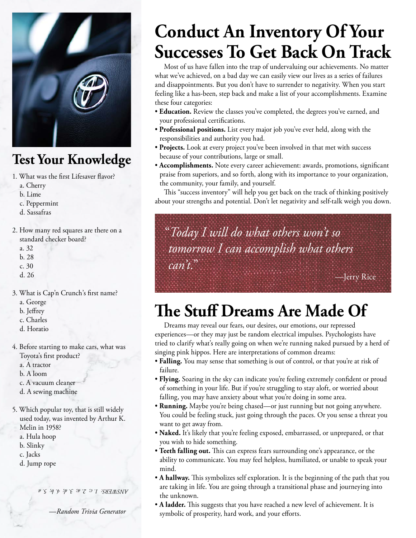

### **Test Your Knowledge**

- 1. What was the first Lifesaver flavor?
	- a. Cherry
	- b. Lime
	- c. Peppermint
	- d. Sassafras
- 2. How many red squares are there on a standard checker board?
	- a. 32
	- b. 28
	- c. 30
	- d. 26
- 3. What is Cap'n Crunch's first name?
	- a. George
	- b. Jeffrey
	- c. Charles
	- d. Horatio
- 4. Before starting to make cars, what was Toyota's first product?
	- a. A tractor
	- b. A loom
	-
	- c. A vacuum cleaner
	- d. A sewing machine
- 5. Which popular toy, that is still widely used today, was invented by Arthur K. Melin in 1958?
	- a. Hula hoop
	- b. Slinky
	- c. Jacks
	- d. Jump rope

*ANSWERS: 1. c; 2. a; 3. d; 4. b; 5. a*

*—Random Trivia Generator*

# **Conduct An Inventory Of Your Successes To Get Back On Track**

Most of us have fallen into the trap of undervaluing our achievements. No matter what we've achieved, on a bad day we can easily view our lives as a series of failures and disappointments. But you don't have to surrender to negativity. When you start feeling like a has-been, step back and make a list of your accomplishments. Examine these four categories:

- **Education.** Review the classes you've completed, the degrees you've earned, and your professional certifications.
- **Professional positions.** List every major job you've ever held, along with the responsibilities and authority you had.
- **Projects.** Look at every project you've been involved in that met with success because of your contributions, large or small.
- **Accomplishments.** Note every career achievement: awards, promotions, significant praise from superiors, and so forth, along with its importance to your organization, the community, your family, and yourself.

This "success inventory" will help you get back on the track of thinking positively about your strengths and potential. Don't let negativity and self-talk weigh you down.

## "*Today I will do what others won't so tomorrow I can accomplish what others can't.*"

—Jerry Rice

# **The Stuff Dreams Are Made Of**

Dreams may reveal our fears, our desires, our emotions, our repressed experiences—or they may just be random electrical impulses. Psychologists have tried to clarify what's really going on when we're running naked pursued by a herd of singing pink hippos. Here are interpretations of common dreams:

- **Falling.** You may sense that something is out of control, or that you're at risk of failure.
- **Flying.** Soaring in the sky can indicate you're feeling extremely confident or proud of something in your life. But if you're struggling to stay aloft, or worried about falling, you may have anxiety about what you're doing in some area.
- **Running.** Maybe you're being chased—or just running but not going anywhere. You could be feeling stuck, just going through the paces. Or you sense a threat you want to get away from.
- **Naked.** It's likely that you're feeling exposed, embarrassed, or unprepared, or that you wish to hide something.
- **Teeth falling out.** This can express fears surrounding one's appearance, or the ability to communicate. You may feel helpless, humiliated, or unable to speak your mind.
- **A hallway.** This symbolizes self exploration. It is the beginning of the path that you are taking in life. You are going through a transitional phase and journeying into the unknown.
- **A ladder.** This suggests that you have reached a new level of achievement. It is symbolic of prosperity, hard work, and your efforts.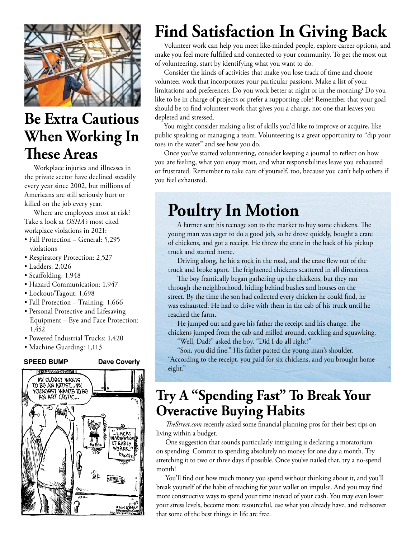

### **Be Extra Cautious When Working In These Areas**

Workplace injuries and illnesses in the private sector have declined steadily every year since 2002, but millions of Americans are still seriously hurt or killed on the job every year.

Where are employees most at risk? Take a look at *OSHA's* most cited workplace violations in 2021:

- Fall Protection General: 5,295 violations
- Respiratory Protection: 2,527
- Ladders: 2,026
- Scaffolding: 1,948
- Hazard Communication: 1,947
- Lockout/Tagout: 1,698
- Fall Protection Training: 1,666
- Personal Protective and Lifesaving Equipment – Eye and Face Protection: 1,452
- Powered Industrial Trucks: 1,420
- Machine Guarding: 1,113

### **SPEED BUMP Dave Coverly**



# **Find Satisfaction In Giving Back**

Volunteer work can help you meet like-minded people, explore career options, and make you feel more fulfilled and connected to your community. To get the most out of volunteering, start by identifying what you want to do.

Consider the kinds of activities that make you lose track of time and choose volunteer work that incorporates your particular passions. Make a list of your limitations and preferences. Do you work better at night or in the morning? Do you like to be in charge of projects or prefer a supporting role? Remember that your goal should be to find volunteer work that gives you a charge, not one that leaves you depleted and stressed.

You might consider making a list of skills you'd like to improve or acquire, like public speaking or managing a team. Volunteering is a great opportunity to "dip your toes in the water" and see how you do.

Once you've started volunteering, consider keeping a journal to reflect on how you are feeling, what you enjoy most, and what responsibilities leave you exhausted or frustrated. Remember to take care of yourself, too, because you can't help others if you feel exhausted.

## **Poultry In Motion**

A farmer sent his teenage son to the market to buy some chickens. The young man was eager to do a good job, so he drove quickly, bought a crate of chickens, and got a receipt. He threw the crate in the back of his pickup truck and started home.

Driving along, he hit a rock in the road, and the crate flew out of the truck and broke apart. The frightened chickens scattered in all directions.

The boy frantically began gathering up the chickens, but they ran through the neighborhood, hiding behind bushes and houses on the street. By the time the son had collected every chicken he could find, he was exhausted. He had to drive with them in the cab of his truck until he reached the farm.

He jumped out and gave his father the receipt and his change. The chickens jumped from the cab and milled around, cackling and squawking.

"Well, Dad?" asked the boy. "Did I do all right?"

"Son, you did fine." His father patted the young man's shoulder. "According to the receipt, you paid for six chickens, and you brought home eight."

### **Try A "Spending Fast" To Break Your Overactive Buying Habits**

*TheStreet.com* recently asked some financial planning pros for their best tips on living within a budget.

One suggestion that sounds particularly intriguing is declaring a moratorium on spending. Commit to spending absolutely no money for one day a month. Try stretching it to two or three days if possible. Once you've nailed that, try a no-spend month!

You'll find out how much money you spend without thinking about it, and you'll break yourself of the habit of reaching for your wallet on impulse. And you may find more constructive ways to spend your time instead of your cash. You may even lower your stress levels, become more resourceful, use what you already have, and rediscover that some of the best things in life are free.